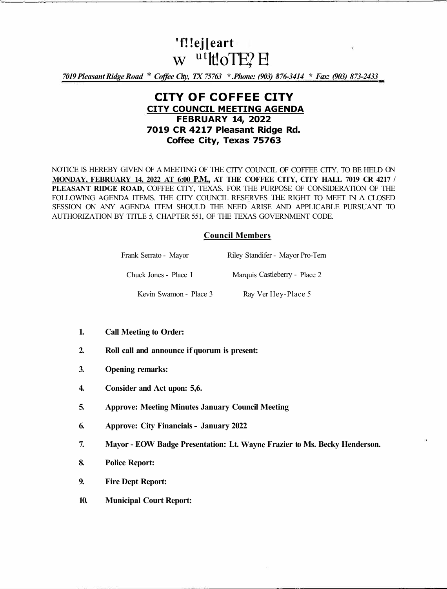# **'f!!ej[eart**  w utltoTE? E

*7019 Pleasant Ridge Road* \* *Coffee City, TX 75763 \* .Phone: (903) 876-3414 \* Fax: (903) 873-2433* 

# **CITY OF COFFEE CITY CITY COUNCIL MEETING AGENDA FEBRUARY 14, 2022 7019 CR 4217 Pleasant Ridge Rd. Coffee City, Texas 75763**

NOTICE IS HEREBY GIVEN OF A MEETING OF THE CITY COUNCIL OF COFFEE CITY. TO BE HELD ON **MONDAY, FEBRUARY 14, 2022 AT 6:00 P.M., AT THE COFFEE CITY, CITY HALL 7019 CR 4217 / PLEASANT RIDGE ROAD,** COFFEE CITY, TEXAS. FOR THE PURPOSE OF CONSIDERATION OF THE FOLLOWING AGENDA ITEMS. THE CITY COUNCIL RESERVES THE RIGHT TO MEET IN A CLOSED SESSION ON ANY AGENDA ITEM SHOULD THE NEED ARISE AND APPLICABLE PURSUANT TO AUTHORIZATION BY TITLE 5, CHAPTER 551, OF THE TEXAS GOVERNMENT CODE.

## **Council Members**

| Frank Serrato - Mayor  | Riley Standifer - Mayor Pro-Tern |
|------------------------|----------------------------------|
| Chuck Jones - Place I  | Marquis Castleberry - Place 2    |
| Kevin Swamon - Place 3 | Ray Ver Hey-Place 5              |

- **1. Call Meeting to Order:**
- **2. Roll call and announce if quorum is present:**
- **3. Opening remarks:**
- **4. Consider and Act upon: 5,6.**
- **5. Approve: Meeting Minutes January Council Meeting**
- **6. Approve: City Financials - January 2022**
- **7. Mayor - EOW Badge Presentation: Lt. Wayne Frazier to Ms. Becky Henderson.**
- **8. Police Report:**
- **9. Fire Dept Report:**
- **10. Municipal Court Report:**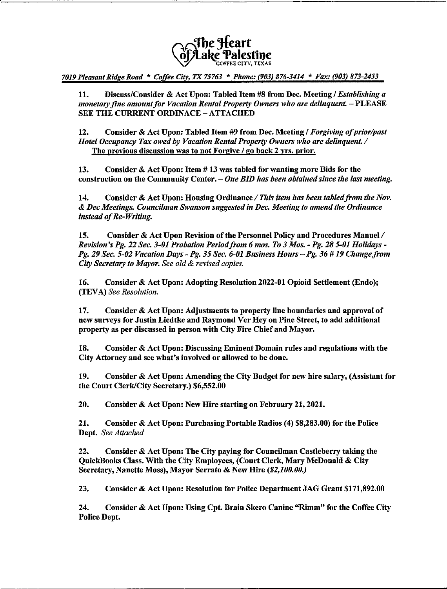

7019 Pleasant Ridge Road \* Coffee City, TX 75763 \* Phone: (903) 876-3414 \* Fax: (903) 873-2433

Discuss/Consider & Act Upon; Tabled Item #8 from Dec. Meeting / Establishing a 11. monetary fine amount for Vacation Rental Property Owners who are delinguent. - PLEASE SEE THE CURRENT ORDINACE - ATTACHED

 $12.$ Consider & Act Upon: Tabled Item #9 from Dec. Meeting / Forgiving of prior/past Hotel Occupancy Tax owed by Vacation Rental Property Owners who are delinquent. / The previous discussion was to not Forgive / go back 2 vrs. prior.

13. Consider & Act Upon: Item #13 was tabled for wanting more Bids for the construction on the Community Center. – One BID has been obtained since the last meeting.

14. Consider & Act Upon: Housing Ordinance / This item has been tabled from the Nov. & Dec Meetings. Councilman Swanson suggested in Dec. Meeting to amend the Ordinance instead of Re-Writing.

15. Consider & Act Upon Revision of the Personnel Policy and Procedures Manuel / Revision's Pg. 22 Sec. 3-01 Probation Period from 6 mos. To 3 Mos. - Pg. 28 5-01 Holidays -Pg. 29 Sec. 5-02 Vacation Days - Pg. 35 Sec. 6-01 Business Hours - Pg. 36 # 19 Change from City Secretary to Mayor. See old & revised copies.

16. Consider & Act Upon: Adopting Resolution 2022-01 Opioid Settlement (Endo); (TEVA) See Resolution.

17. Consider & Act Upon: Adjustments to property line boundaries and approval of new surveys for Justin Liedtke and Raymond Ver Hey on Pine Street, to add additional property as per discussed in person with City Fire Chief and Mayor.

18. Consider & Act Upon: Discussing Eminent Domain rules and regulations with the City Attorney and see what's involved or allowed to be done.

19. Consider & Act Upon: Amending the City Budget for new hire salary, (Assistant for the Court Clerk/City Secretary.) \$6,552.00

20. Consider & Act Upon: New Hire starting on February 21, 2021.

21. Consider & Act Upon: Purchasing Portable Radios (4) \$8,283.00) for the Police Dept. See Attached

Consider & Act Upon: The City paying for Councilman Castleberry taking the 22. QuickBooks Class. With the City Employees, (Court Clerk, Mary McDonald & City Secretary, Nanette Moss), Mayor Serrato & New Hire (\$2,100.00.)

23. Consider & Act Upon: Resolution for Police Department JAG Grant \$171,892.00

24. Consider & Act Upon: Using Cpt. Brain Skero Canine "Rimm" for the Coffee City Police Dept.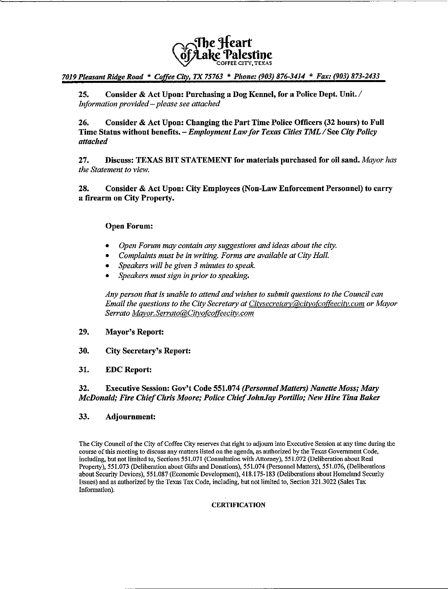

# 7019 Pleasant Ridge Road \* Coffee City, TX 75763 \* Phone: (903) 876-3414 \* Fax: (903) 873-2433

25. Consider & Act Upon: Purchasing a Dog Kennel, for a Police Dept. Unit. / Information provided - please see attached

Consider & Act Upon: Changing the Part Time Police Officers (32 hours) to Full 26. Time Status without benefits. - Employment Law for Texas Cities TML / See City Policy attached

Discuss: TEXAS BIT STATEMENT for materials purchased for oil sand. Mayor has 27. the Statement to view.

28. Consider & Act Upon: City Employees (Non-Law Enforcement Personnel) to carry a firearm on City Property.

# **Open Forum:**

- Open Forum may contain any suggestions and ideas about the city.
- Complaints must be in writing. Forms are available at City Hall.
- Speakers will be given 3 minutes to speak.
- Speakers must sign in prior to speaking.

Any person that is unable to attend and wishes to submit questions to the Council can Email the questions to the City Secretary at Citysecretary  $\partial$ cityofcoffeecity.com or Mayor Serrato Mayor.Serrato@Cityofcoffeecity.com

#### 29. **Mayor's Report:**

30. **City Secretary's Report:** 

#### 31. **EDC** Report:

#### 32. Executive Session: Gov't Code 551.074 (Personnel Matters) Nanette Moss; Mary McDonald; Fire Chief Chris Moore; Police Chief JohnJay Portillo; New Hire Tina Baker

#### 33. Adjournment:

The City Council of the City of Coffee City reserves that right to adjourn into Executive Session at any time during the course of this meeting to discuss any matters listed on the agenda, as authorized by the Texas Government Code, including, but not limited to, Sections 551.071 (Consultation with Attorney), 551.072 (Deliberation about Real Property), 551.073 (Deliberation about Gifts and Donations), 551.074 (Personnel Matters), 551.076, (Deliberations about Security Devices), 551.087 (Economic Development), 418.175-183 (Deliberations about Homeland Security Issues) and as authorized by the Texas Tax Code, including, but not limited to, Section 321.3022 (Sales Tax Information).

## **CERTIFICATION**